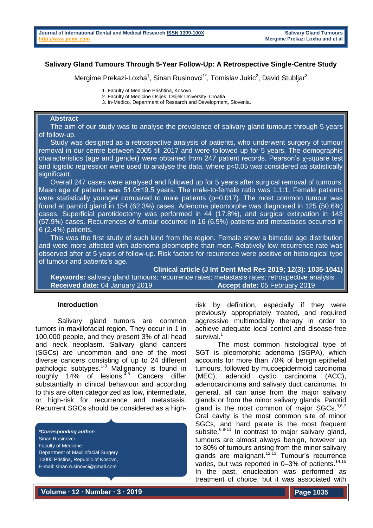# **Salivary Gland Tumours Through 5-Year Follow-Up: A Retrospective Single-Centre Study**

Mergime Prekazi-Loxha<sup>1</sup>, Sinan Rusinovci<sup>1\*</sup>, Tomislav Jukic<sup>2</sup>, David Stubljar<sup>3</sup>

1. Faculty of Medicine Prishtina, Kosovo

- 2. Faculty of Medicine Osijek, Osijek University, Croatia
- 3. In-Medico, Department of Research and Development, Slovenia.

### **Abstract**

 The aim of our study was to analyse the prevalence of salivary gland tumours through 5-years of follow-up.

 Study was designed as a retrospective analysis of patients, who underwent surgery of tumour removal in our centre between 2005 till 2017 and were followed up for 5 years. The demographic characteristics (age and gender) were obtained from 247 patient records. Pearson's χ-square test and logistic regression were used to analyse the data, where p<0.05 was considered as statistically significant.

 Overall 247 cases were analysed and followed up for 5 years after surgical removal of tumours. Mean age of patients was 51.0±19.5 years. The male-to-female ratio was 1.1:1. Female patients were statistically younger compared to male patients (p=0.017). The most common tumour was found at parotid gland in 154 (62.3%) cases. Adenoma pleomorphe was diagnosed in 125 (50.6%) cases. Superficial parotidectomy was performed in 44 (17.8%), and surgical extirpation in 143 (57.9%) cases. Recurrences of tumour occurred in 16 (6.5%) patients and metastases occurred in 6 (2.4%) patients.

 This was the first study of such kind from the region. Female show a bimodal age distribution and were more affected with adenoma pleomorphe than men. Relatively low recurrence rate was observed after at 5 years of follow-up. Risk factors for recurrence were positive on histological type of tumour and patients's age.

**Clinical article (J Int Dent Med Res 2019; 12(3): 1035-1041)** 

 **Keywords:** salivary gland tumours; recurrence rates; metastasis rates; retrospective analysis **Received date:** 04 January 2019 **Accept date:** 05 February 2019

# **Introduction**

Salivary gland tumors are common tumors in maxillofacial region. They occur in 1 in 100,000 people, and they present 3% of all head and neck neoplasm. Salivary gland cancers (SGCs) are uncommon and one of the most diverse cancers consisting of up to 24 different pathologic subtypes.<sup>1-3</sup> Malignancy is found in roughly 14% of lesions. $4,5$  Cancers differ substantially in clinical behaviour and according to this are often categorized as low, intermediate, or high-risk for recurrence and metastasis. Recurrent SGCs should be considered as a high-

*\*Corresponding author:* Sinan Rusinovci Faculty of Medicine Department of Maxillofacial Surgery 10000 Pristina, Republic of Kosovo, E-mail: sinan.rusinovci@gmail.com

risk by definition, especially if they were previously appropriately treated, and required aggressive multimodality therapy in order to achieve adequate local control and disease-free survival.<sup>1</sup>

The most common histological type of SGT is pleomorphic adenoma (SGPA), which accounts for more than 70% of benign epithelial tumours, followed by mucoepidermoid carcinoma (MEC), adenoid cystic carcinoma (ACC), adenocarcinoma and salivary duct carcinoma. In general, all can arise from the major salivary glands or from the minor salivary glands. Parotid gland is the most common of major SGCs.<sup>3,6,7</sup> Oral cavity is the most common site of minor SGCs, and hard palate is the most frequent subsite. $6,8-11$  In contrast to major salivary gland, tumours are almost always benign, however up to 80% of tumours arising from the minor salivary glands are malignant.<sup>12,13</sup> Tumour's recurrence varies, but was reported in  $0-3\%$  of patients.<sup>14,15</sup> In the past, enucleation was performed as treatment of choice, but it was associated with

**Volume ∙ 12 ∙ Number ∙ 3 ∙ 2019**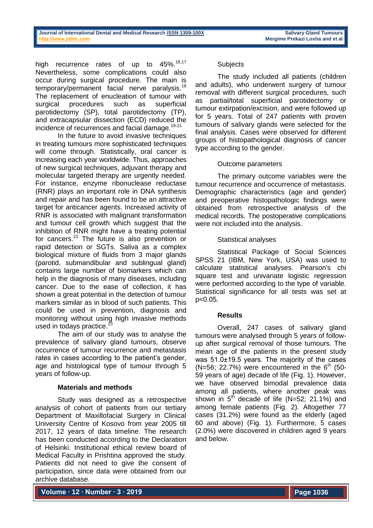high recurrence rates of up to  $45\%$ .<sup>16,17</sup> Nevertheless, some complications could also occur during surgical procedure. The main is temporary/permanent facial nerve paralysis.<sup>18</sup> The replacement of enucleation of tumour with surgical procedures such as superficial parotidectomy (SP), total parotidectomy (TP), and extracapsular dissection (ECD) reduced the incidence of recurrences and facial damage.<sup>19-21</sup>

In the future to avoid invasive techniques in treating tumours more sophisticated techniques will come through. Statistically, oral cancer is increasing each year worldwide. Thus, approaches of new surgical techniques, adjuvant therapy and molecular targeted therapy are urgently needed. For instance, enzyme ribonuclease reductase (RNR) plays an important role in DNA synthesis and repair and has been found to be an attractive target for anticancer agents. Increased activity of RNR is associated with malignant transformation and tumour cell growth which suggest that the inhibition of RNR might have a treating potential for cancers.<sup>22</sup> The future is also prevention or rapid detection or SGTs. Saliva as a complex biological mixture of fluids from 3 major glands (parotid, submandibular and sublingual gland) contains large number of biomarkers which can help in the diagnosis of many diseases, including cancer. Due to the ease of collection, it has shown a great potential in the detection of tumour markers similar as in blood of such patients. This could be used in prevention, diagnosis and monitoring without using high invasive methods used in todays practice.<sup>23</sup>

The aim of our study was to analyse the prevalence of salivary gland tumours, observe occurrence of tumour recurrence and metastasis rates in cases according to the patient's gender, age and histological type of tumour through 5 years of follow-up.

# **Materials and methods**

Study was designed as a retrospective analysis of cohort of patients from our tertiary Department of Maxillofacial Surgery in Clinical University Centre of Kosovo from year 2005 till 2017, 12 years of data timeline. The research has been conducted according to the Declaration of Helsinki. Institutional ethical review board of Medical Faculty in Prishtina approved the study. Patients did not need to give the consent of participation, since data were obtained from our archive database.

### **Subjects**

The study included all patients (children and adults), who underwent surgery of tumour removal with different surgical procedures, such as partial/total superficial parotidectomy or tumour extirpation/excision, and were followed up for 5 years. Total of 247 patients with proven tumours of salivary glands were selected for the final analysis. Cases were observed for different groups of histopathological diagnosis of cancer type according to the gender.

### Outcome parameters

The primary outcome variables were the tumour recurrence and occurrence of metastasis. Demographic characteristics (age and gender) and preoperative histopathologic findings were obtained from retrospective analysis of the medical records. The postoperative complications were not included into the analysis.

# Statistical analyses

Statistical Package of Social Sciences SPSS 21 (IBM, New York, USA) was used to calculate statistical analyses. Pearson's chi square test and univariate logistic regression were performed according to the type of variable. Statistical significance for all tests was set at p<0.05.

#### **Results**

Overall, 247 cases of salivary gland tumours were analysed through 5 years of followup after surgical removal of those tumours. The mean age of the patients in the present study was 51.0±19.5 years. The majority of the cases (N=56; 22.7%) were encountered in the  $6<sup>th</sup>$  (50-59 years of age) decade of life (Fig. 1). However, we have observed bimodal prevalence data among all patients, where another peak was shown in  $5<sup>th</sup>$  decade of life (N=52; 21.1%) and among female patients (Fig. 2). Altogether 77 cases (31.2%) were found as the elderly (aged 60 and above) (Fig. 1). Furthermore, 5 cases (2.0%) were discovered in children aged 9 years and below.

**Volume ∙ 12 ∙ Number ∙ 3 ∙ 2019**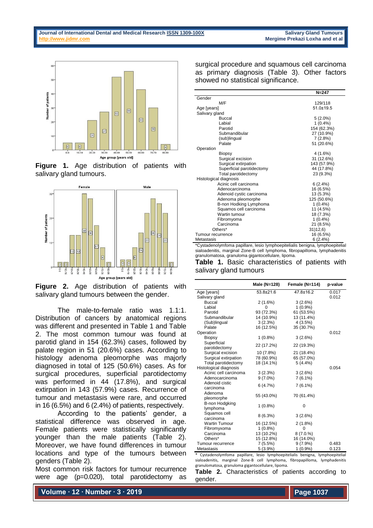

**Figure 1.** Age distribution of patients with salivary gland tumours.



**Figure 2.** Age distribution of patients with salivary gland tumours between the gender.

The male-to-female ratio was 1.1:1. Distribution of cancers by anatomical regions was different and presented in Table 1 and Table 2. The most common tumour was found at parotid gland in 154 (62.3%) cases, followed by palate region in 51 (20.6%) cases. According to histology adenoma pleomorphe was majorly diagnosed in total of 125 (50.6%) cases. As for surgical procedures, superficial parotidectomy was performed in 44 (17.8%), and surgical extirpation in 143 (57.9%) cases. Recurrence of tumour and metastasis were rare, and occurred in 16 (6.5%) and 6 (2.4%) of patients, respectively.

According to the patients' gender, a statistical difference was observed in age. Female patients were statistically significantly younger than the male patients (Table 2). Moreover, we have found differences in tumour locations and type of the tumours between genders (Table 2).

Most common risk factors for tumour recurrence were age (p=0.020), total parotidectomy as

surgical procedure and squamous cell carcinoma as primary diagnosis (Table 3). Other factors showed no statistical significance.

|                           | $N = 247$       |
|---------------------------|-----------------|
| Gender                    |                 |
| M/F                       | 129/118         |
| Age [years]               | $51.0 \pm 19.5$ |
| Salivary gland            |                 |
| <b>Buccal</b>             | $5(2.0\%)$      |
| Labial                    | $1(0.4\%)$      |
| Parotid                   | 154 (62.3%)     |
| Submandibular             | 27 (10.9%)      |
| (sub)lingual              | 7(2.8%)         |
| Palate                    | 51 (20.6%)      |
| Operation                 |                 |
| <b>Biopsy</b>             | 4 (1.6%)        |
| Surgical excision         | 31 (12.6%)      |
| Surgical extirpation      | 143 (57.9%)     |
| Superficial parotidectomy | 44 (17.8%)      |
| Total parotidectomy       | 23 (9.3%)       |
| Histological diagnosis    |                 |
| Acinic cell carcinoma     | 6(2.4%)         |
| Adenocarcinoma            | 16 (6.5%)       |
| Adenoid cystic carcinoma  | 13 (5.3%)       |
| Adenoma pleomorphe        | 125 (50.6%)     |
| B-non Hodking Lymphoma    | $1(0.4\%)$      |
| Squamos cell carcinoma    | 11 (4.5%)       |
| Wartin tumour             | 18 (7.3%)       |
| Fibromyoma                | $1(0.4\%)$      |
| Carcinoma                 | 21 (8.5%)       |
| Others*                   | 31)12,6)        |
| Tumour recurrence         | 16 (6.5%)       |
| Metastasis                | 6(2.4%)         |

\*Cystadenolymfoma papillare, lesio lymphoepitelialis benigna, lymphoepitelial sialoadenitis, marginal Zone-B cell lymphoma, fibropapilloma, lymphadenitis granulomatosa, granuloma gigantocellulare, lipoma.

|  |                        | <b>Table 1.</b> Basic characteristics of patients with |  |  |
|--|------------------------|--------------------------------------------------------|--|--|
|  | salivary gland tumours |                                                        |  |  |

|                                   | Male (N=128)    | Female (N=114)  | p-value |
|-----------------------------------|-----------------|-----------------|---------|
| Age [years]                       | $53.8 \pm 21.6$ | $47.8 \pm 16.2$ | 0.017   |
| Salivary gland                    |                 |                 | 0.012   |
| Buccal                            | 2(1.6%)         | 3(2.6%)         |         |
| Labial                            | Ω               | $1(0.9\%)$      |         |
| Parotid                           | 93 (72.3%)      | 61 (53.5%)      |         |
| Submandibular                     | 14 (10.9%)      | 13 (11.4%)      |         |
| (Sub)lingual                      | 3(2.3%)         | 4(3.5%)         |         |
| Palate                            | 16 (12.5%)      | 35 (30.7%)      |         |
| Operation                         |                 |                 | 0.012   |
| <b>Biopsy</b>                     | $1(0.8\%)$      | 3(2.6%)         |         |
| Superficial<br>parotidectomy      | 22 (17.2%)      | 22 (19.3%)      |         |
| Surgical excision                 | 10 (7.8%)       | 21 (18.4%)      |         |
| Surgical extirpation              | 78 (60.9%)      | 65 (57.0%)      |         |
| Total parotidectomy               | 18 (14.1%)      | $5(4.4\%)$      |         |
| Histological diagnosis            |                 |                 | 0.054   |
| Acinic cell carcinoma             | 3(2.3%)         | 3(2.6%)         |         |
| Adenocarcinoma                    | $9(7.0\%)$      | 7(6.1%)         |         |
| Adenoid cistic<br>carcinoma       | 6(4.7%)         | $7(6.1\%)$      |         |
| Adenoma<br>pleomorphe             | 55 (43.0%)      | 70 (61.4%)      |         |
| <b>B-non Hodgking</b><br>lymphoma | $1(0.8\%)$      | 0               |         |
| Squamos cell<br>carcinoma         | 8(6.3%)         | 3(2.6%)         |         |
| <b>Wartin Tumour</b>              | 16 (12.5%)      | $2(1.8\%)$      |         |
| Fibromyxoma                       | $1(0.8\%)$      | $\Omega$        |         |
| Carcinoma                         | 13 (10.2%)      | 8(7.0.%)        |         |
| Others*                           | 15 (12.8%)      | 16 (14.0%)      |         |
| Tumour recurrence                 | 7(5.5%)         | $9(7.9\%)$      | 0.483   |
| Metastasis                        | 5(3.9%)         | $1(0.9\%)$      | 0.123   |

\* Cystadenolymfoma papillare, lesio lymphoepitelialis benigna, lymphoepitelial sialoadenitis, marginal Zone-B cell lymphoma, fibropapilloma, lymphadenitis granulomatosa, granuloma gigantocellulare, lipoma.

**Table 2.** Characteristics of patients according to gender.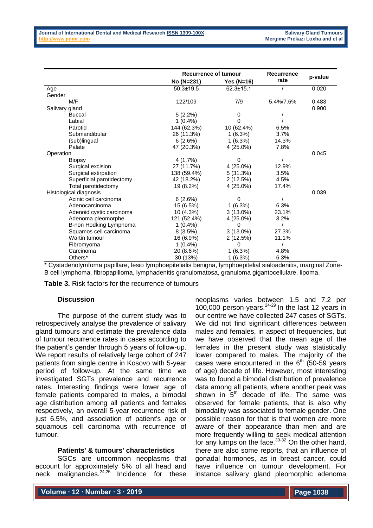|                           | <b>Recurrence of tumour</b> |                 | <b>Recurrence</b> |         |
|---------------------------|-----------------------------|-----------------|-------------------|---------|
|                           | No (N=231)                  | Yes (N=16)      | rate              | p-value |
| Age                       | $50.3 \pm 19.5$             | $62.3 \pm 15.1$ |                   | 0.020   |
| Gender                    |                             |                 |                   |         |
| M/F                       | 122/109                     | 7/9             | 5.4%/7.6%         | 0.483   |
| Salivary gland            |                             |                 |                   | 0.900   |
| <b>Buccal</b>             | $5(2.2\%)$                  | 0               |                   |         |
| Labial                    | $1(0.4\%)$                  | 0               |                   |         |
| Parotid                   | 144 (62.3%)                 | 10 (62.4%)      | 6.5%              |         |
| Submandibular             | 26 (11.3%)                  | 1(6.3%)         | 3.7%              |         |
| (sub)lingual              | 6(2.6%)                     | 1(6.3%)         | 14.3%             |         |
| Palate                    | 47 (20.3%)                  | 4 (25.0%)       | 7.8%              |         |
| Operation                 |                             |                 |                   | 0.045   |
| Biopsy                    | 4(1.7%)                     | 0               |                   |         |
| Surgical excision         | 27 (11.7%)                  | 4 (25.0%)       | 12.9%             |         |
| Surgical extirpation      | 138 (59.4%)                 | 5(31.3%)        | 3.5%              |         |
| Superficial parotidectomy | 42 (18.2%)                  | 2(12.5%)        | 4.5%              |         |
| Total parotidectomy       | 19 (8.2%)                   | 4 (25.0%)       | 17.4%             |         |
| Histological diagnosis    |                             |                 |                   | 0.039   |
| Acinic cell carcinoma     | 6(2.6%)                     | 0               |                   |         |
| Adenocarcinoma            | 15 (6.5%)                   | 1(6.3%)         | 6.3%              |         |
| Adenoid cystic carcinoma  | 10(4.3%)                    | $3(13.0\%)$     | 23.1%             |         |
| Adenoma pleomorphe        | 121 (52.4%)                 | 4 (25.0%)       | 3.2%              |         |
| B-non Hodking Lymphoma    | $1(0.4\%)$                  | $\Omega$        |                   |         |
| Squamos cell carcinoma    | 8(3.5%)                     | $3(13.0\%)$     | 27.3%             |         |
| Wartin tumour             | 16 (6.9%)                   | 2(12.5%)        | 11.1%             |         |
| Fibromyoma                | $1(0.4\%)$                  | 0               |                   |         |
| Carcinoma                 | 20 (8.6%)                   | 1(6.3%)         | 4.8%              |         |
| Others*                   | 30 (13%)                    | 1(6.3%)         | 6.3%              |         |

\* Cystadenolymfoma papillare, lesio lymphoepitelialis benigna, lymphoepitelial sialoadenitis, marginal Zone-B cell lymphoma, fibropapilloma, lymphadenitis granulomatosa, granuloma gigantocellulare, lipoma.

**Table 3.** Risk factors for the recurrence of tumours

### **Discussion**

The purpose of the current study was to retrospectively analyse the prevalence of salivary gland tumours and estimate the prevalence data of tumour recurrence rates in cases according to the patient's gender through 5 years of follow-up. We report results of relatively large cohort of 247 patients from single centre in Kosovo with 5-year period of follow-up. At the same time we investigated SGTs prevalence and recurrence rates. Interesting findings were lower age of female patients compared to males, a bimodal age distribution among all patients and females respectively, an overall 5-year recurrence risk of just 6.5%, and association of patient's age or squamous cell carcinoma with recurrence of tumour.

## **Patients' & tumours' characteristics**

SGCs are uncommon neoplasms that account for approximately 5% of all head and neck malignancies.<sup>24,25</sup> Incidence for these

neoplasms varies between 1.5 and 7.2 per 100,000 person-years.24-29 In the last 12 years in our centre we have collected 247 cases of SGTs. We did not find significant differences between males and females, in aspect of frequencies, but we have observed that the mean age of the females in the present study was statistically lower compared to males. The majority of the cases were encountered in the  $6<sup>th</sup>$  (50-59 years of age) decade of life. However, most interesting was to found a bimodal distribution of prevalence data among all patients, where another peak was shown in  $5<sup>th</sup>$  decade of life. The same was observed for female patients, that is also why bimodality was associated to female gender. One possible reason for that is that women are more aware of their appearance than men and are more frequently willing to seek medical attention for any lumps on the face. $30-32$  On the other hand, there are also some reports, that an influence of gonadal hormones, as in breast cancer, could have influence on tumour development. For instance salivary gland pleomorphic adenoma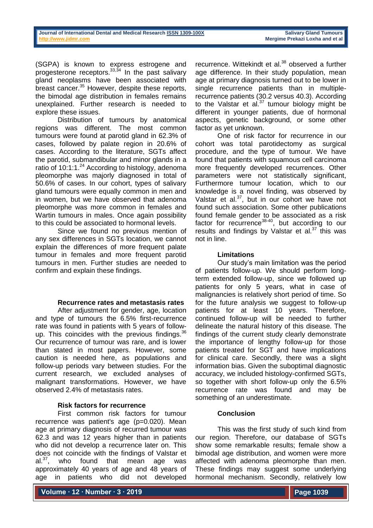(SGPA) is known to express estrogene and progesterone receptors. $33,34$  In the past salivary gland neoplasms have been associated with breast cancer.<sup>35</sup> However, despite these reports, the bimodal age distribution in females remains unexplained. Further research is needed to explore these issues.

Distribution of tumours by anatomical regions was different. The most common tumours were found at parotid gland in 62.3% of cases, followed by palate region in 20.6% of cases. According to the literature, SGTs affect the parotid, submandibular and minor glands in a ratio of  $10:1:1.^{24}$  According to histology, adenoma pleomorphe was majorly diagnosed in total of 50.6% of cases. In our cohort, types of salivary gland tumours were equally common in men and in women, but we have observed that adenoma pleomorphe was more common in females and Wartin tumours in males. Once again possibility to this could be associated to hormonal levels.

Since we found no previous mention of any sex differences in SGTs location, we cannot explain the differences of more frequent palate tumour in females and more frequent parotid tumours in men. Further studies are needed to confirm and explain these findings.

#### **Recurrence rates and metastasis rates**

After adjustment for gender, age, location and type of tumours the 6.5% first-recurrence rate was found in patients with 5 years of followup. This coincides with the previous findinas.<sup>36</sup> Our recurrence of tumour was rare, and is lower than stated in most papers. However, some caution is needed here, as populations and follow-up periods vary between studies. For the current research, we excluded analyses of malignant transformations. However, we have observed 2.4% of metastasis rates.

# **Risk factors for recurrence**

First common risk factors for tumour recurrence was patient's age (p=0.020). Mean age at primary diagnosis of recurred tumour was 62.3 and was 12 years higher than in patients who did not develop a recurrence later on. This does not coincide with the findings of Valstar et  $al.^{37}$ , who found that mean age was approximately 40 years of age and 48 years of age in patients who did not developed

recurrence. Wittekindt et al.<sup>38</sup> observed a further age difference. In their study population, mean age at primary diagnosis turned out to be lower in single recurrence patients than in multiplerecurrence patients (30.2 versus 40.3). According to the Valstar et al. $37$  tumour biology might be different in younger patients, due of hormonal aspects, genetic background, or some other factor as yet unknown.

One of risk factor for recurrence in our cohort was total parotidectomy as surgical procedure, and the type of tumour. We have found that patients with squamous cell carcinoma more frequently developed recurrences. Other parameters were not statistically significant, Furthermore tumour location, which to our knowledge is a novel finding, was observed by Valstar et al.<sup>37</sup>, but in our cohort we have not found such association. Some other publications found female gender to be associated as a risk factor for recurrence<sup>38-40</sup>, but according to our results and findings by Valstar et al. $37$  this was not in line.

### **Limitations**

Our study's main limitation was the period of patients follow-up. We should perform longterm extended follow-up, since we followed up patients for only 5 years, what in case of malignancies is relatively short period of time. So for the future analysis we suggest to follow-up patients for at least 10 years. Therefore, continued follow-up will be needed to further delineate the natural history of this disease. The findings of the current study clearly demonstrate the importance of lengthy follow-up for those patients treated for SGT and have implications for clinical care. Secondly, there was a slight information bias. Given the suboptimal diagnostic accuracy, we included histology-confirmed SGTs, so together with short follow-up only the 6.5% recurrence rate was found and may be something of an underestimate.

# **Conclusion**

This was the first study of such kind from our region. Therefore, our database of SGTs show some remarkable results; female show a bimodal age distribution, and women were more affected with adenoma pleomorphe than men. These findings may suggest some underlying hormonal mechanism. Secondly, relatively low

**Volume ∙ 12 ∙ Number ∙ 3 ∙ 2019**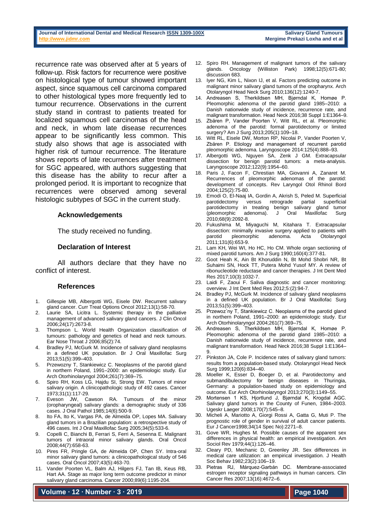recurrence rate was observed after at 5 years of follow-up. Risk factors for recurrence were positive on histological type of tumour showed important aspect, since squamous cell carcinoma compared to other histological types more frequently led to tumour recurrence. Observations in the current study stand in contrast to patients treated for localized squamous cell carcinomas of the head and neck, in whom late disease recurrences appear to be significantly less common. This study also shows that age is associated with higher risk of tumour recurrence. The literature shows reports of late recurrences after treatment for SGC appeared, with authors suggesting that this disease has the ability to recur after a prolonged period. It is important to recognize that recurrences were observed among several histologic subtypes of SGC in the current study.

#### **Acknowledgements**

The study received no funding.

### **Declaration of Interest**

All authors declare that they have no conflict of interest.

#### **References**

- 1. Gillespie MB, Albergotti WG, Eisele DW. Recurrent salivary gland cancer. Curr Treat Options Oncol 2012;13(1):58-70.
- 2. Laurie SA, Licitra L. Systemic therapy in the palliative management of advanced salivary gland cancers. J Clin Oncol 2006;24(17):2673-8.
- 3. Thompson L. World Health Organization classification of tumours: pathology and genetics of head and neck tumours. Ear Nose Throat J 2006;85(2):74.
- 4. Bradley PJ, McGurk M. Incidence of salivary gland neoplasms in a defined UK population. Br J Oral Maxillofac Surg 2013;51(5):399–403.
- 5. Przewozny T, Stankiewicz C. Neoplasms of the parotid gland in northern Poland, 1991–2000: an epidemiologic study. Eur Arch Otorhinolaryngol 2004;261(7):369–75.
- 6. Spiro RH, Koss LG, Hajdu SI, Strong EW. Tumors of minor salivary origin. A clinicopathologic study of 492 cases. Cancer 1973;31(1):117-29.
- 7. Eveson JW, Cawson RA. Tumours of the minor (oropharyngeal) salivary glands: a demographic study of 336 cases. J Oral Pathol 1985;14(6):500-9.
- 8. Ito FA, Ito K, Vargas PA, de Almeida OP, Lopes MA. Salivary gland tumors in a Brazilian population: a retrospective study of 496 cases. Int J Oral Maxillofac Surg 2005;34(5):533-6.
- 9. Copelli C, Bianchi B, Ferrari S, Ferri A, Sesenna E. Malignant tumors of intraoral minor salivary glands. Oral Oncol 2008;44(7):658-63.
- 10. Pires FR, Pringle GA, de Almeida OP, Chen SY. Intra-oral minor salivary gland tumors: a clinicopathological study of 546 cases. Oral Oncol 2007;43(5):463-70.
- 11. Vander Poorten VL, Balm AJ, Hilgers FJ, Tan IB, Keus RB, Hart AA. Stage as major long term outcome predictor in minor salivary gland carcinoma. Cancer 2000;89(6):1195-204.

**Volume ∙ 12 ∙ Number ∙ 3 ∙ 2019**

- 12. Spiro RH. Management of malignant tumors of the salivary glands. Oncology (Williston Park) 1998;12(5):671-80; discussion 683.
- 13. Iyer NG, Kim L, Nixon IJ, et al. Factors predicting outcome in malignant minor salivary gland tumors of the oropharynx. Arch Otolaryngol Head Neck Surg 2010;136(12):1240-7.
- 14. Andreasen S, Therkildsen MH, Bjørndal K, Homøe P. Pleomorphic adenoma of the parotid gland 1985–2010: a Danish nationwide study of incidence, recurrence rate, and malignant transformation. Head Neck 2016;38 Suppl 1:E1364–9.
- 15. Zbären P, Vander Poorten V, Witt RL, et al. Pleomorphic adenoma of the parotid: formal parotidectomy or limited surgery? Am J Surg 2013;205(1):109–18.
- 16. Witt RL, Eisele DW, Morton RP, Nicolai P, Vander Poorten V, Zbären P. Etiology and management of recurrent parotid pleomorphic adenoma. Laryngoscope 2014:125(4):888–93.
- 17. Albergotti WG, Nguyen SA, Zenk J GM. Extracapsular dissection for benign parotid tumors: a meta-analysis. Laryngoscope 2012;122(9):1954–60.
- 18. Paris J, Facon F, Chrestian MA, Giovanni A, Zanaret M. Recurrences of pleomorphic adenomas of the parotid: development of concepts. Rev Laryngol Otol Rhinol Bord 2004;125(2):75-80.
- 19. Emodi O, El-Naaj IA, Gordin A, Akrish S, Peled M. Superficial parotidectomy versus retrograde partial superficial parotidectomy in treating benign salivary gland tumor (pleomorphic adenoma). J Oral Maxillofac Surg 2010;68(9):2092-8.
- 20. Fukushima M, Miyaguchi M, Kitahara T. Extracapsular dissection: minimally invasive surgery applied to patients with<br>parotid pleomorphic adenoma. Acta Otolaryngol pleomorphic adenoma. Acta Otolaryngol 2011;131(6):653-9.
- 21. Lam KH, Wei WI, Ho HC, Ho CM. Whole organ sectioning of mixed parotid tumors. Am J Surg 1990;160(4):377-81.
- 22. Goot Heah K, Ain Bt Khoruddin N, Bt Mohd Shobri NR, Bt Suhaimi SN, Hock TT, Putera Mohd Yusof MY. A review of ribonucleotide reductase and cancer therapies. J Int Dent Med Res 2017;10(3):1032-7.
- 23. Laidi F, Zaoui F. Saliva diagnostic and cancer monitoring: overview. J Int Dent Med Res 2012;5:(2):94-7.
- 24. Bradley PJ, McGurk M. Incidence of salivary gland neoplasms in a defined UK population. Br J Oral Maxillofac Surg 2013;51(5):399–403.
- 25. Przewoz´ny T, Stankiewicz C. Neoplasms of the parotid gland in northern Poland, 1991–2000: an epidemiologic study. Eur Arch Otorhinolaryngol 2004;261(7):369–75.
- 26. Andreasen S, Therkildsen MH, Bjørndal K, Homøe P. Pleomorphic adenoma of the parotid gland 1985–2010: a Danish nationwide study of incidence, recurrence rate, and malignant transformation. Head Neck 2016;38 Suppl 1:E1364– 9.
- 27. Pinkston JA, Cole P. Incidence rates of salivary gland tumors: results from a population-based study. Otolaryngol Head Neck Surg 1999;120(6):834–40.
- Moeller K, Esser D, Boeger D, et al. Parotidectomy and submandibulectomy for benign diseases in Thuringia, Germany: a population-based study on epidemiology and outcome. Eur Arch Otorhinolaryngol 2013;270(3):1149–55.
- 29. Mortensen 1 KS, Hjortlund J, Bjørndal K, Krogdal AGC. Salivary gland tumors in the County of Funen, 1984–2003. Ugeskr Laeger 2008;170(7):545–8.
- 30. Micheli A, Mariotto A, Giorgi Rossi A, Gatta G, Muti P. The prognostic role of gender in survival of adult cancer patients. Eur J Cancer1998;34(14 Spec No):2271–8.
- 31. Gove WR, Hughes M. Possible causes of the apparent sex differences in physical health: an empirical investigation. Am Sociol Rev 1979;44(1):126–46.
- 32. Cleary PD, Mechanic D, Greenley JR. Sex differences in medical care utilization: an empirical investigation. J Health Soc Behav 1982;23(2):106–19.
- 33. Pietras RJ, Márquez-Garbán DC. Membrane-associated estrogen receptor signaling pathways in human cancers. Clin Cancer Res 2007;13(16):4672–6.